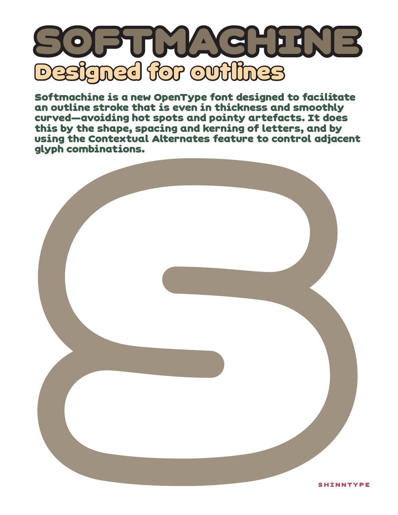

Softmachine is a new OpenType font designed to facilitate an outline stroke that is even in thickness and smoothly curved—avoiding hot spots and pointy artefacts. It does this by the shape, spacing and kerning of letters, and by using the Contextual Alternates feature to control adjacent glyph combinations.

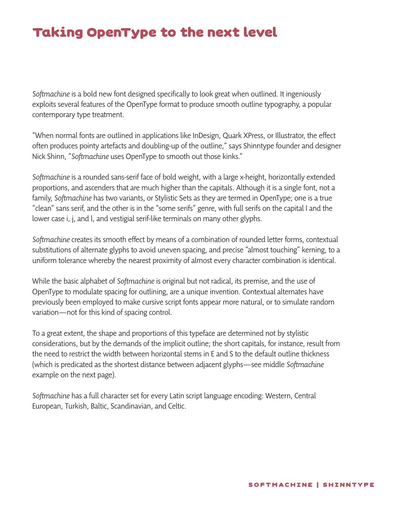# Taking OpenType to the next level

*Softmachine* is a bold new font designed specifically to look great when outlined. It ingeniously exploits several features of the OpenType format to produce smooth outline typography, a popular contemporary type treatment.

"When normal fonts are outlined in applications like InDesign, Quark XPress, or Illustrator, the effect often produces pointy artefacts and doubling-up of the outline," says Shinntype founder and designer Nick Shinn, "*Softmachine* uses OpenType to smooth out those kinks."

*Softmachine* is a rounded sans-serif face of bold weight, with a large x-height, horizontally extended proportions, and ascenders that are much higher than the capitals. Although it is a single font, not a family, *Softmachine* has two variants, or Stylistic Sets as they are termed in OpenType; one is a true "clean" sans serif, and the other is in the "some serifs" genre, with full serifs on the capital I and the lower case i, j, and l, and vestigial serif-like terminals on many other glyphs.

*Softmachine* creates its smooth effect by means of a combination of rounded letter forms, contextual substitutions of alternate glyphs to avoid uneven spacing, and precise "almost touching" kerning, to a uniform tolerance whereby the nearest proximity of almost every character combination is identical.

While the basic alphabet of *Softmachine* is original but not radical, its premise, and the use of OpenType to modulate spacing for outlining, are a unique invention. Contextual alternates have previously been employed to make cursive script fonts appear more natural, or to simulate random variation—not for this kind of spacing control.

To a great extent, the shape and proportions of this typeface are determined not by stylistic considerations, but by the demands of the implicit outline; the short capitals, for instance, result from the need to restrict the width between horizontal stems in E and S to the default outline thickness (which is predicated as the shortest distance between adjacent glyphs—see middle *Softmachine* example on the next page).

*Softmachine* has a full character set for every Latin script language encoding: Western, Central European, Turkish, Baltic, Scandinavian, and Celtic.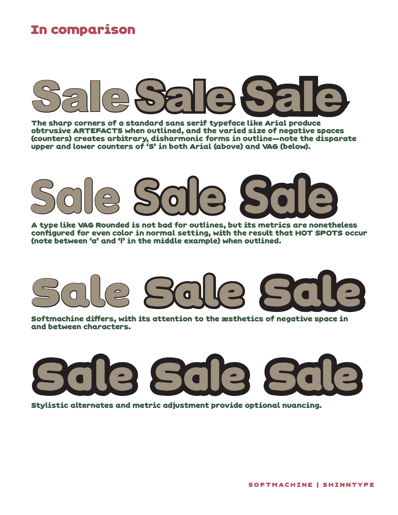#### In comparison



The sharp corners of a standard sans serif typeface like Arial produce obtrusive ARTEFACTS when outlined, and the varied size of negative spaces (counters) creates arbitrary, disharmonic forms in outline—note the disparate upper and lower counters of 'S' in both Arial (above) and VAG (below).



A type like VAG Rounded is not bad for outlines, but its metrics are nonetheless configured for even color in normal setting, with the result that HOT SPOTS occur (note between 'a' and 'l' in the middle example) when outlined.



Softmachine differs, with its attention to the æsthetics of negative space in and between characters.



Stylistic alternates and metric adjustment provide optional nuancing.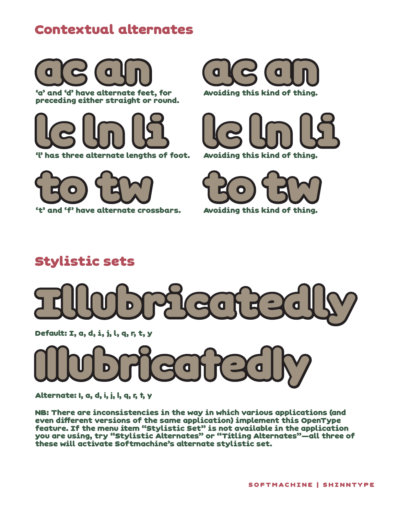# Contextual alternates

ac an ac an 'a' and 'd' have alternate feet, for **Avoiding this kind of thing.** preceding either straight or round.

'l' has three alternate lengths of foot. Avoiding this kind of thing.









# Stylistic sets



Default: I, a, d, i, j, l, q, r, t, y



Alternate: I, a, d, i, j, l, q, r, t, y

NB: There are inconsistencies in the way in which various applications (and even different versions of the same application) implement this OpenType feature. If the menu item "Stylistic Set" is not available in the application you are using, try "Stylistic Alternates" or "Titling Alternates"—all three of these will activate Softmachine's alternate stylistic set.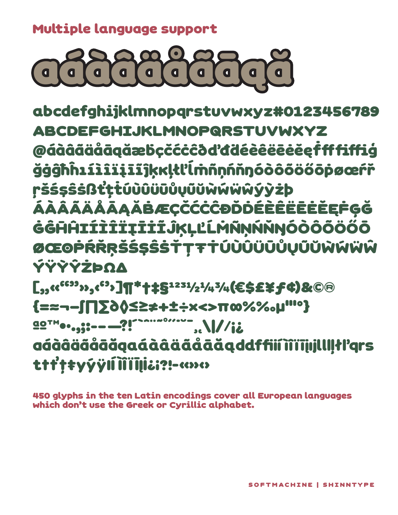Multiple language support



abcdefghijklmnopqrstuvwxyz#0123456789 ABCDEFGHIJKLMNOPQRSTUVWXYZ @áàâãäåāąăæḃçčćċĉðďđḋéèêëēėěęḟfffiffiģ ğġĝħĥıíìîïįīĩĵķĸļłľĺṁñņńňŋóòôõöőōṗøœŕř ŗšśşŝṡßťţṫúùûüūůųũŭẁẃẅŵýỳżþ ÁÀÂÃÄÅÅĄĂBÆÇČĆĊĈĐĎĎÉÈÊËËĖĔĘĖĢĞ ĠĜĤĤIÍÌĨÏĮĪİĨĴĶĻĽĹMŇŅŃŇŊÓÒÕÖÖŐŌ ØŒOPŔŘRŠŚSŜŠŤŢŦŤÚÙŨŮŮŮŮŬŴŴŴŴ ÝŸỲŶŻÞΩ∆ [<sub>33</sub>«<sup>«\*\*</sup>»,<"»]¶\*†‡§<sup>1231/</sup>2<sup>1</sup>/4<sup>3</sup>/4(€\$£¥*f* ¢)&©® {=≈¬−∫∏∑∂◊≤≥≠+±÷×<>π∞%‰µ'"°} ªº™•·.,;:-–—?!´`ˆ¨˜˚˝˙˘¯¸˛\|/⁄¡¿ aáàâäãåāăąaáàâäãåāăąddf�ií ìîïīįıjlllļłľqrs ttťțŧyýÿII III IIIi 2!-«»·

450 glyphs in the ten Latin encodings cover all European languages which don't use the Greek or Cyrillic alphabet.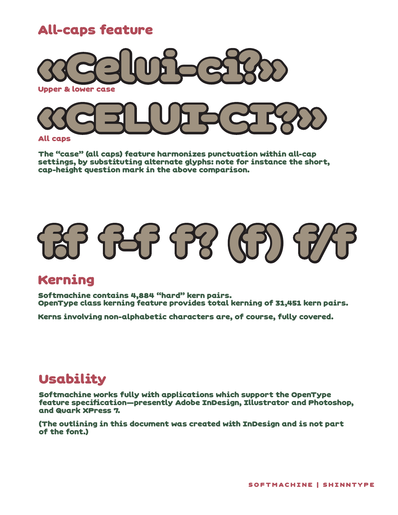### All-caps feature



All caps

The "case" (all caps) feature harmonizes punctuation within all-cap settings, by substituting alternate glyphs: note for instance the short, cap-height question mark in the above comparison.

# $f(\xi)$   $f(\xi)$

### Kerning

Softmachine contains 4,884 "hard" kern pairs. OpenType class kerning feature provides total kerning of 31,451 kern pairs.

Kerns involving non-alphabetic characters are, of course, fully covered.

### Usability

Softmachine works fully with applications which support the OpenType feature specification—presently Adobe InDesign, Illustrator and Photoshop, and Quark XPress 7.

(The outlining in this document was created with InDesign and is not part of the font.)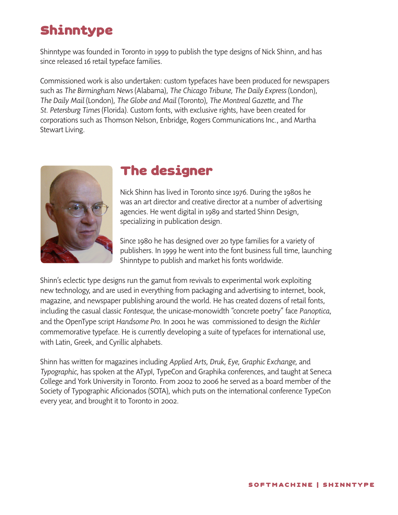# Shinntype

Shinntype was founded in Toronto in 1999 to publish the type designs of Nick Shinn, and has since released 16 retail typeface families.

Commissioned work is also undertaken: custom typefaces have been produced for newspapers such as *The Birmingham News* (Alabama), *The Chicago Tribune, The Daily Express* (London), *The Daily Mail* (London), *The Globe and Mail* (Toronto), *The Montreal Gazette,* and *The St. Petersburg Times* (Florida). Custom fonts, with exclusive rights, have been created for corporations such as Thomson Nelson, Enbridge, Rogers Communications Inc., and Martha Stewart Living.



# The designer

Nick Shinn has lived in Toronto since 1976. During the 1980s he was an art director and creative director at a number of advertising agencies. He went digital in 1989 and started Shinn Design, specializing in publication design.

Since 1980 he has designed over 20 type families for a variety of publishers. In 1999 he went into the font business full time, launching Shinntype to publish and market his fonts worldwide.

Shinn's eclectic type designs run the gamut from revivals to experimental work exploiting new technology, and are used in everything from packaging and advertising to internet, book, magazine, and newspaper publishing around the world. He has created dozens of retail fonts, including the casual classic *Fontesque,* the unicase-monowidth "concrete poetry" face *Panoptica,* and the OpenType script *Handsome Pro.* In 2001 he was commissioned to design the *Richler* commemorative typeface. He is currently developing a suite of typefaces for international use, with Latin, Greek, and Cyrillic alphabets.

Shinn has written for magazines including *Applied Arts, Druk, Eye, Graphic Exchange,* and *Typographic,* has spoken at the ATypI, TypeCon and Graphika conferences, and taught at Seneca College and York University in Toronto. From 2002 to 2006 he served as a board member of the Society of Typographic Aficionados (SOTA), which puts on the international conference TypeCon every year, and brought it to Toronto in 2002.